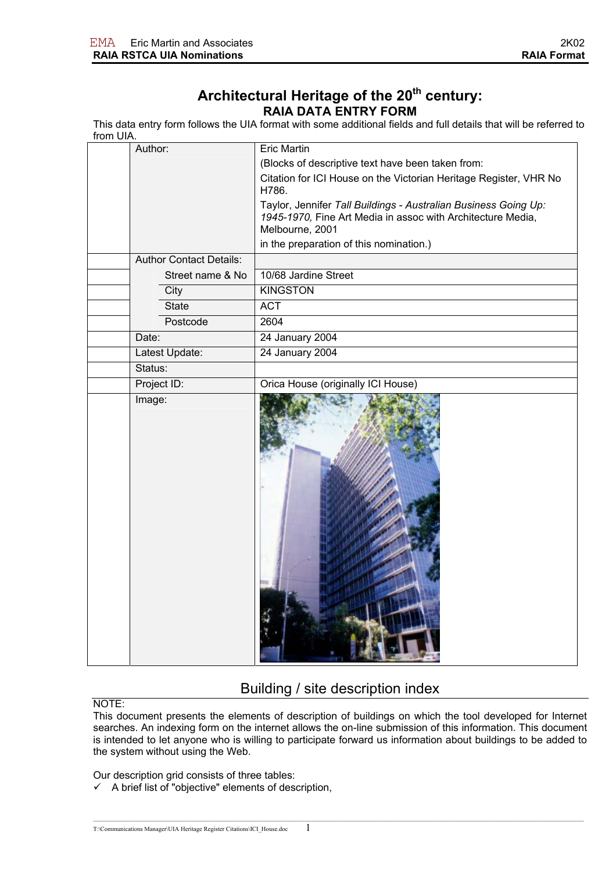# Architectural Heritage of the 20<sup>th</sup> century: **RAIA DATA ENTRY FORM**

This data entry form follows the UIA format with some additional fields and full details that will be referred to from UIA.

|                       | Author:                        | <b>Eric Martin</b>                                                                                                                                |
|-----------------------|--------------------------------|---------------------------------------------------------------------------------------------------------------------------------------------------|
|                       |                                | (Blocks of descriptive text have been taken from:                                                                                                 |
|                       |                                | Citation for ICI House on the Victorian Heritage Register, VHR No<br>H786.                                                                        |
|                       |                                | Taylor, Jennifer Tall Buildings - Australian Business Going Up:<br>1945-1970, Fine Art Media in assoc with Architecture Media,<br>Melbourne, 2001 |
|                       |                                | in the preparation of this nomination.)                                                                                                           |
|                       | <b>Author Contact Details:</b> |                                                                                                                                                   |
|                       | Street name & No               | 10/68 Jardine Street                                                                                                                              |
|                       | City                           | <b>KINGSTON</b>                                                                                                                                   |
|                       | <b>State</b>                   | <b>ACT</b>                                                                                                                                        |
|                       | Postcode                       | 2604                                                                                                                                              |
| Date:                 |                                | 24 January 2004                                                                                                                                   |
|                       | Latest Update:                 | 24 January 2004                                                                                                                                   |
| Status:               |                                |                                                                                                                                                   |
|                       |                                | Orica House (originally ICI House)                                                                                                                |
| Project ID:<br>Image: |                                |                                                                                                                                                   |

# Building / site description index

NOTE:

This document presents the elements of description of buildings on which the tool developed for Internet searches. An indexing form on the internet allows the on-line submission of this information. This document is intended to let anyone who is willing to participate forward us information about buildings to be added to the system without using the Web.

Our description grid consists of three tables:

 $\checkmark$  A brief list of "objective" elements of description,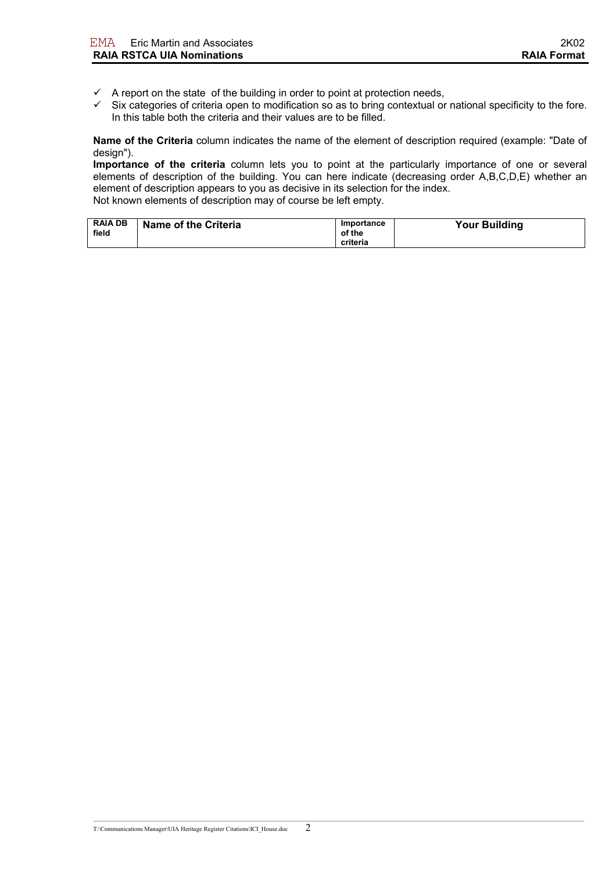- $\checkmark$  A report on the state of the building in order to point at protection needs,
- $\checkmark$  Six categories of criteria open to modification so as to bring contextual or national specificity to the fore. In this table both the criteria and their values are to be filled.

**Name of the Criteria** column indicates the name of the element of description required (example: "Date of design").

**Importance of the criteria** column lets you to point at the particularly importance of one or several elements of description of the building. You can here indicate (decreasing order A,B,C,D,E) whether an element of description appears to you as decisive in its selection for the index. Not known elements of description may of course be left empty.

| <b>RAIA DB</b><br>field | Name of the Criteria | Importance<br>of the | <b>Your Building</b> |
|-------------------------|----------------------|----------------------|----------------------|
|                         |                      | criteria             |                      |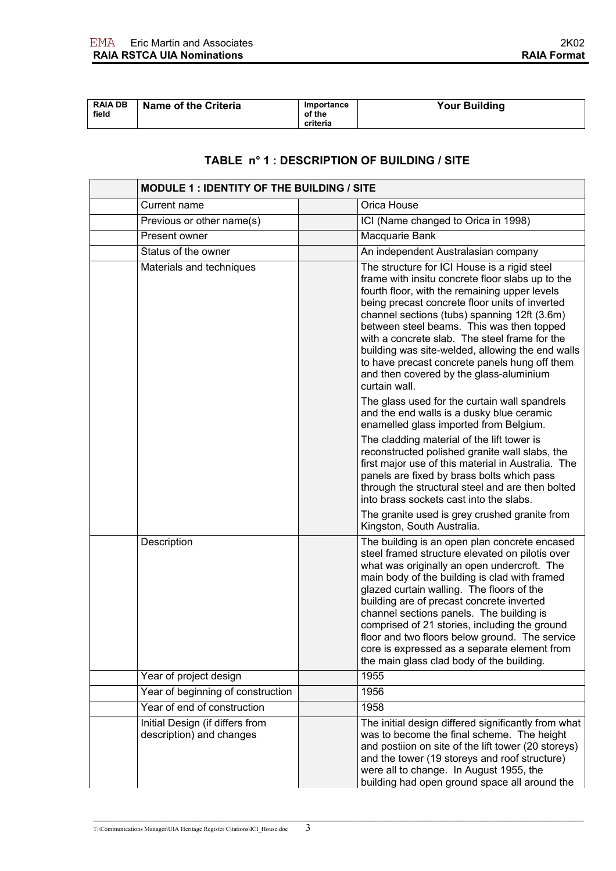| <b>RAIA DB</b><br>field | <b>Name of the Criteria</b> | Importance<br>of the | <b>Your Building</b> |
|-------------------------|-----------------------------|----------------------|----------------------|
|                         |                             | criteria             |                      |

#### **TABLE n° 1 : DESCRIPTION OF BUILDING / SITE**

|                        | MODULE 1 : IDENTITY OF THE BUILDING / SITE                  |  |                                                                                                                                                                                                                                                                                                                                                                                                                                                                                                                                        |  |
|------------------------|-------------------------------------------------------------|--|----------------------------------------------------------------------------------------------------------------------------------------------------------------------------------------------------------------------------------------------------------------------------------------------------------------------------------------------------------------------------------------------------------------------------------------------------------------------------------------------------------------------------------------|--|
| Current name           |                                                             |  | Orica House                                                                                                                                                                                                                                                                                                                                                                                                                                                                                                                            |  |
|                        | Previous or other name(s)                                   |  | ICI (Name changed to Orica in 1998)                                                                                                                                                                                                                                                                                                                                                                                                                                                                                                    |  |
| Present owner          |                                                             |  | Macquarie Bank                                                                                                                                                                                                                                                                                                                                                                                                                                                                                                                         |  |
| Status of the owner    |                                                             |  | An independent Australasian company                                                                                                                                                                                                                                                                                                                                                                                                                                                                                                    |  |
|                        | Materials and techniques                                    |  | The structure for ICI House is a rigid steel<br>frame with insitu concrete floor slabs up to the<br>fourth floor, with the remaining upper levels<br>being precast concrete floor units of inverted<br>channel sections (tubs) spanning 12ft (3.6m)<br>between steel beams. This was then topped<br>with a concrete slab. The steel frame for the<br>building was site-welded, allowing the end walls<br>to have precast concrete panels hung off them<br>and then covered by the glass-aluminium<br>curtain wall.                     |  |
|                        |                                                             |  | The glass used for the curtain wall spandrels<br>and the end walls is a dusky blue ceramic<br>enamelled glass imported from Belgium.                                                                                                                                                                                                                                                                                                                                                                                                   |  |
|                        |                                                             |  | The cladding material of the lift tower is<br>reconstructed polished granite wall slabs, the<br>first major use of this material in Australia. The<br>panels are fixed by brass bolts which pass<br>through the structural steel and are then bolted<br>into brass sockets cast into the slabs.                                                                                                                                                                                                                                        |  |
|                        |                                                             |  | The granite used is grey crushed granite from<br>Kingston, South Australia.                                                                                                                                                                                                                                                                                                                                                                                                                                                            |  |
| Description            |                                                             |  | The building is an open plan concrete encased<br>steel framed structure elevated on pilotis over<br>what was originally an open undercroft. The<br>main body of the building is clad with framed<br>glazed curtain walling. The floors of the<br>building are of precast concrete inverted<br>channel sections panels. The building is<br>comprised of 21 stories, including the ground<br>floor and two floors below ground. The service<br>core is expressed as a separate element from<br>the main glass clad body of the building. |  |
| Year of project design |                                                             |  | 1955                                                                                                                                                                                                                                                                                                                                                                                                                                                                                                                                   |  |
|                        | Year of beginning of construction                           |  | 1956                                                                                                                                                                                                                                                                                                                                                                                                                                                                                                                                   |  |
|                        | Year of end of construction                                 |  | 1958                                                                                                                                                                                                                                                                                                                                                                                                                                                                                                                                   |  |
|                        | Initial Design (if differs from<br>description) and changes |  | The initial design differed significantly from what<br>was to become the final scheme. The height<br>and postiion on site of the lift tower (20 storeys)<br>and the tower (19 storeys and roof structure)<br>were all to change. In August 1955, the<br>building had open ground space all around the                                                                                                                                                                                                                                  |  |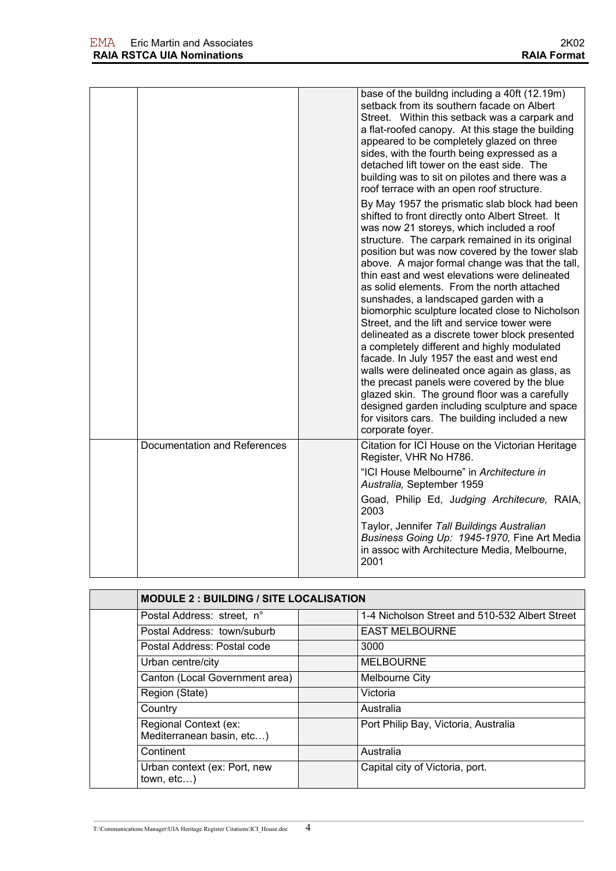|                              | base of the buildng including a 40ft (12.19m)<br>setback from its southern facade on Albert<br>Street. Within this setback was a carpark and<br>a flat-roofed canopy. At this stage the building<br>appeared to be completely glazed on three<br>sides, with the fourth being expressed as a<br>detached lift tower on the east side. The<br>building was to sit on pilotes and there was a<br>roof terrace with an open roof structure.<br>By May 1957 the prismatic slab block had been<br>shifted to front directly onto Albert Street. It<br>was now 21 storeys, which included a roof<br>structure. The carpark remained in its original<br>position but was now covered by the tower slab<br>above. A major formal change was that the tall,<br>thin east and west elevations were delineated<br>as solid elements. From the north attached<br>sunshades, a landscaped garden with a<br>biomorphic sculpture located close to Nicholson<br>Street, and the lift and service tower were<br>delineated as a discrete tower block presented<br>a completely different and highly modulated<br>facade. In July 1957 the east and west end<br>walls were delineated once again as glass, as<br>the precast panels were covered by the blue<br>glazed skin. The ground floor was a carefully<br>designed garden including sculpture and space<br>for visitors cars. The building included a new<br>corporate foyer. |
|------------------------------|---------------------------------------------------------------------------------------------------------------------------------------------------------------------------------------------------------------------------------------------------------------------------------------------------------------------------------------------------------------------------------------------------------------------------------------------------------------------------------------------------------------------------------------------------------------------------------------------------------------------------------------------------------------------------------------------------------------------------------------------------------------------------------------------------------------------------------------------------------------------------------------------------------------------------------------------------------------------------------------------------------------------------------------------------------------------------------------------------------------------------------------------------------------------------------------------------------------------------------------------------------------------------------------------------------------------------------------------------------------------------------------------------------------------|
| Documentation and References | Citation for ICI House on the Victorian Heritage<br>Register, VHR No H786.<br>"ICI House Melbourne" in Architecture in<br>Australia, September 1959<br>Goad, Philip Ed, Judging Architecure, RAIA,<br>2003<br>Taylor, Jennifer Tall Buildings Australian<br>Business Going Up: 1945-1970, Fine Art Media<br>in assoc with Architecture Media, Melbourne,<br>2001                                                                                                                                                                                                                                                                                                                                                                                                                                                                                                                                                                                                                                                                                                                                                                                                                                                                                                                                                                                                                                                    |

| <b>MODULE 2: BUILDING / SITE LOCALISATION</b>      |                                                |
|----------------------------------------------------|------------------------------------------------|
| Postal Address: street, n°                         | 1-4 Nicholson Street and 510-532 Albert Street |
| Postal Address: town/suburb                        | <b>EAST MELBOURNE</b>                          |
| Postal Address: Postal code                        | 3000                                           |
| Urban centre/city                                  | <b>MELBOURNE</b>                               |
| Canton (Local Government area)                     | Melbourne City                                 |
| Region (State)                                     | Victoria                                       |
| Country                                            | Australia                                      |
| Regional Context (ex:<br>Mediterranean basin, etc) | Port Philip Bay, Victoria, Australia           |
| Continent                                          | Australia                                      |
| Urban context (ex: Port, new<br>town, etc          | Capital city of Victoria, port.                |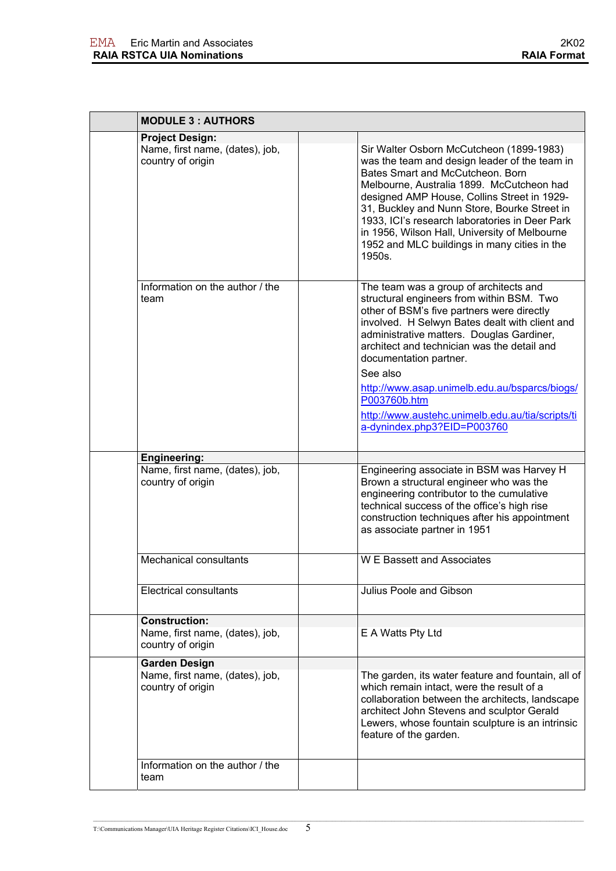| <b>MODULE 3 : AUTHORS</b>                                                    |                                                                                                                                                                                                                                                                                                                                                                                                                                                                           |  |  |
|------------------------------------------------------------------------------|---------------------------------------------------------------------------------------------------------------------------------------------------------------------------------------------------------------------------------------------------------------------------------------------------------------------------------------------------------------------------------------------------------------------------------------------------------------------------|--|--|
| <b>Project Design:</b>                                                       |                                                                                                                                                                                                                                                                                                                                                                                                                                                                           |  |  |
| Name, first name, (dates), job,<br>country of origin                         | Sir Walter Osborn McCutcheon (1899-1983)<br>was the team and design leader of the team in<br>Bates Smart and McCutcheon, Born<br>Melbourne, Australia 1899. McCutcheon had<br>designed AMP House, Collins Street in 1929-<br>31, Buckley and Nunn Store, Bourke Street in<br>1933, ICI's research laboratories in Deer Park<br>in 1956, Wilson Hall, University of Melbourne<br>1952 and MLC buildings in many cities in the<br>1950s.                                    |  |  |
| Information on the author / the<br>team                                      | The team was a group of architects and<br>structural engineers from within BSM. Two<br>other of BSM's five partners were directly<br>involved. H Selwyn Bates dealt with client and<br>administrative matters. Douglas Gardiner,<br>architect and technician was the detail and<br>documentation partner.<br>See also<br>http://www.asap.unimelb.edu.au/bsparcs/biogs/<br>P003760b.htm<br>http://www.austehc.unimelb.edu.au/tia/scripts/ti<br>a-dynindex.php3?EID=P003760 |  |  |
| <b>Engineering:</b>                                                          |                                                                                                                                                                                                                                                                                                                                                                                                                                                                           |  |  |
| Name, first name, (dates), job,<br>country of origin                         | Engineering associate in BSM was Harvey H<br>Brown a structural engineer who was the<br>engineering contributor to the cumulative<br>technical success of the office's high rise<br>construction techniques after his appointment<br>as associate partner in 1951                                                                                                                                                                                                         |  |  |
| <b>Mechanical consultants</b>                                                | <b>W E Bassett and Associates</b>                                                                                                                                                                                                                                                                                                                                                                                                                                         |  |  |
| <b>Electrical consultants</b>                                                | Julius Poole and Gibson                                                                                                                                                                                                                                                                                                                                                                                                                                                   |  |  |
| <b>Construction:</b><br>Name, first name, (dates), job,<br>country of origin | E A Watts Pty Ltd                                                                                                                                                                                                                                                                                                                                                                                                                                                         |  |  |
| <b>Garden Design</b><br>Name, first name, (dates), job,<br>country of origin | The garden, its water feature and fountain, all of<br>which remain intact, were the result of a<br>collaboration between the architects, landscape<br>architect John Stevens and sculptor Gerald<br>Lewers, whose fountain sculpture is an intrinsic<br>feature of the garden.                                                                                                                                                                                            |  |  |
| Information on the author / the<br>team                                      |                                                                                                                                                                                                                                                                                                                                                                                                                                                                           |  |  |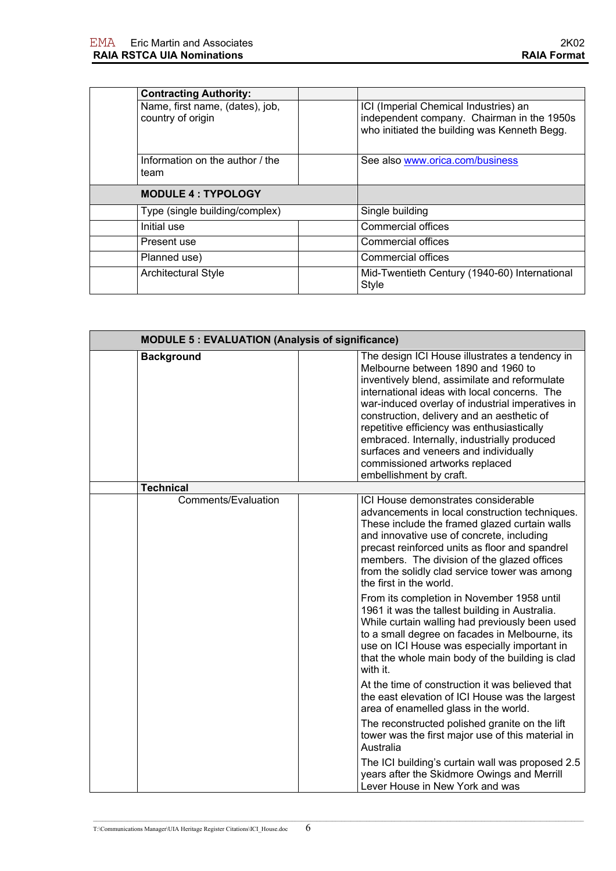| <b>Contracting Authority:</b>           |                                                                                            |
|-----------------------------------------|--------------------------------------------------------------------------------------------|
| Name, first name, (dates), job,         | ICI (Imperial Chemical Industries) an                                                      |
| country of origin                       | independent company. Chairman in the 1950s<br>who initiated the building was Kenneth Begg. |
| Information on the author / the<br>team | See also www.orica.com/business                                                            |
| <b>MODULE 4: TYPOLOGY</b>               |                                                                                            |
| Type (single building/complex)          | Single building                                                                            |
| Initial use                             | <b>Commercial offices</b>                                                                  |
| Present use                             | Commercial offices                                                                         |
| Planned use)                            | Commercial offices                                                                         |
| <b>Architectural Style</b>              | Mid-Twentieth Century (1940-60) International<br><b>Style</b>                              |

| <b>MODULE 5: EVALUATION (Analysis of significance)</b> |                                                                                                                                                                                                                                                                                                                                                                                                                                                                                                                                                                                                                                                                                      |
|--------------------------------------------------------|--------------------------------------------------------------------------------------------------------------------------------------------------------------------------------------------------------------------------------------------------------------------------------------------------------------------------------------------------------------------------------------------------------------------------------------------------------------------------------------------------------------------------------------------------------------------------------------------------------------------------------------------------------------------------------------|
| <b>Background</b>                                      | The design ICI House illustrates a tendency in<br>Melbourne between 1890 and 1960 to<br>inventively blend, assimilate and reformulate<br>international ideas with local concerns. The<br>war-induced overlay of industrial imperatives in<br>construction, delivery and an aesthetic of<br>repetitive efficiency was enthusiastically<br>embraced. Internally, industrially produced<br>surfaces and veneers and individually<br>commissioned artworks replaced<br>embellishment by craft.                                                                                                                                                                                           |
| <b>Technical</b>                                       |                                                                                                                                                                                                                                                                                                                                                                                                                                                                                                                                                                                                                                                                                      |
| Comments/Evaluation                                    | ICI House demonstrates considerable<br>advancements in local construction techniques.<br>These include the framed glazed curtain walls<br>and innovative use of concrete, including<br>precast reinforced units as floor and spandrel<br>members. The division of the glazed offices<br>from the solidly clad service tower was among<br>the first in the world.<br>From its completion in November 1958 until<br>1961 it was the tallest building in Australia.<br>While curtain walling had previously been used<br>to a small degree on facades in Melbourne, its<br>use on ICI House was especially important in<br>that the whole main body of the building is clad<br>with it. |
|                                                        | At the time of construction it was believed that<br>the east elevation of ICI House was the largest<br>area of enamelled glass in the world.<br>The reconstructed polished granite on the lift<br>tower was the first major use of this material in                                                                                                                                                                                                                                                                                                                                                                                                                                  |
|                                                        | Australia<br>The ICI building's curtain wall was proposed 2.5<br>years after the Skidmore Owings and Merrill<br>Lever House in New York and was                                                                                                                                                                                                                                                                                                                                                                                                                                                                                                                                      |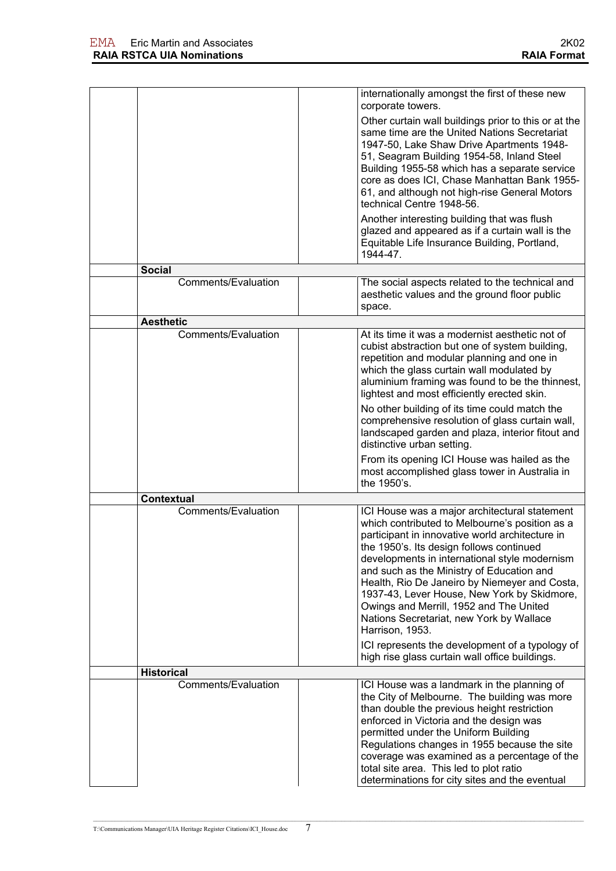|                                          | internationally amongst the first of these new<br>corporate towers.                                                                                                                                                                                                                                                                                                                                                                                                                                                                                                                                         |
|------------------------------------------|-------------------------------------------------------------------------------------------------------------------------------------------------------------------------------------------------------------------------------------------------------------------------------------------------------------------------------------------------------------------------------------------------------------------------------------------------------------------------------------------------------------------------------------------------------------------------------------------------------------|
|                                          | Other curtain wall buildings prior to this or at the<br>same time are the United Nations Secretariat<br>1947-50, Lake Shaw Drive Apartments 1948-<br>51, Seagram Building 1954-58, Inland Steel<br>Building 1955-58 which has a separate service<br>core as does ICI, Chase Manhattan Bank 1955-<br>61, and although not high-rise General Motors<br>technical Centre 1948-56.                                                                                                                                                                                                                              |
|                                          | Another interesting building that was flush<br>glazed and appeared as if a curtain wall is the<br>Equitable Life Insurance Building, Portland,<br>1944-47.                                                                                                                                                                                                                                                                                                                                                                                                                                                  |
| <b>Social</b>                            |                                                                                                                                                                                                                                                                                                                                                                                                                                                                                                                                                                                                             |
| Comments/Evaluation                      | The social aspects related to the technical and<br>aesthetic values and the ground floor public<br>space.                                                                                                                                                                                                                                                                                                                                                                                                                                                                                                   |
| <b>Aesthetic</b>                         |                                                                                                                                                                                                                                                                                                                                                                                                                                                                                                                                                                                                             |
| <b>Comments/Evaluation</b>               | At its time it was a modernist aesthetic not of<br>cubist abstraction but one of system building,<br>repetition and modular planning and one in<br>which the glass curtain wall modulated by<br>aluminium framing was found to be the thinnest,<br>lightest and most efficiently erected skin.                                                                                                                                                                                                                                                                                                              |
|                                          | No other building of its time could match the<br>comprehensive resolution of glass curtain wall,<br>landscaped garden and plaza, interior fitout and<br>distinctive urban setting.<br>From its opening ICI House was hailed as the<br>most accomplished glass tower in Australia in<br>the 1950's.                                                                                                                                                                                                                                                                                                          |
|                                          |                                                                                                                                                                                                                                                                                                                                                                                                                                                                                                                                                                                                             |
| <b>Contextual</b>                        |                                                                                                                                                                                                                                                                                                                                                                                                                                                                                                                                                                                                             |
| Comments/Evaluation                      | ICI House was a major architectural statement<br>which contributed to Melbourne's position as a<br>participant in innovative world architecture in<br>the 1950's. Its design follows continued<br>developments in international style modernism<br>and such as the Ministry of Education and<br>Health, Rio De Janeiro by Niemeyer and Costa,<br>1937-43, Lever House, New York by Skidmore,<br>Owings and Merrill, 1952 and The United<br>Nations Secretariat, new York by Wallace<br>Harrison, 1953.<br>ICI represents the development of a typology of<br>high rise glass curtain wall office buildings. |
|                                          |                                                                                                                                                                                                                                                                                                                                                                                                                                                                                                                                                                                                             |
| <b>Historical</b><br>Comments/Evaluation | ICI House was a landmark in the planning of<br>the City of Melbourne. The building was more<br>than double the previous height restriction<br>enforced in Victoria and the design was<br>permitted under the Uniform Building<br>Regulations changes in 1955 because the site<br>coverage was examined as a percentage of the<br>total site area. This led to plot ratio<br>determinations for city sites and the eventual                                                                                                                                                                                  |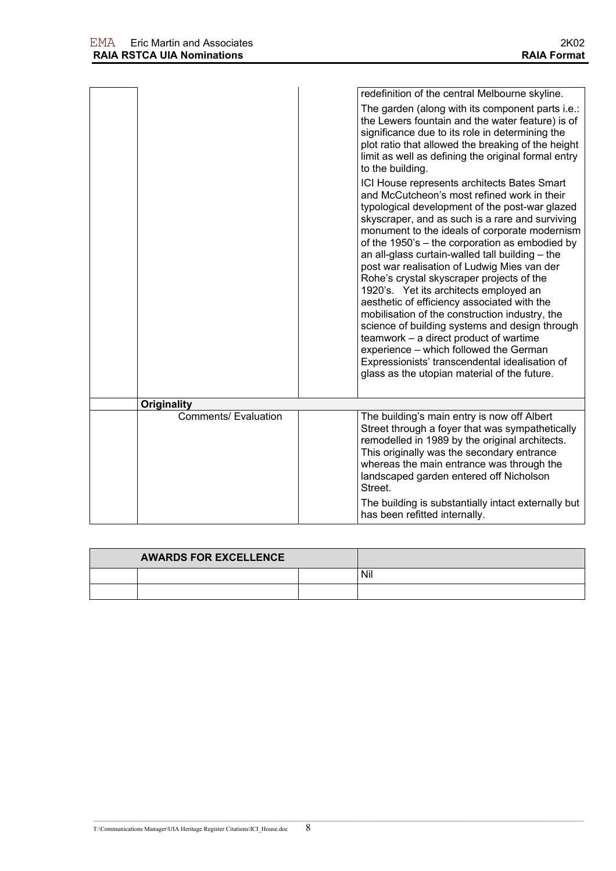|                             | redefinition of the central Melbourne skyline.<br>The garden (along with its component parts i.e.:<br>the Lewers fountain and the water feature) is of<br>significance due to its role in determining the<br>plot ratio that allowed the breaking of the height<br>limit as well as defining the original formal entry<br>to the building.<br>ICI House represents architects Bates Smart<br>and McCutcheon's most refined work in their<br>typological development of the post-war glazed<br>skyscraper, and as such is a rare and surviving<br>monument to the ideals of corporate modernism<br>of the 1950's - the corporation as embodied by<br>an all-glass curtain-walled tall building - the<br>post war realisation of Ludwig Mies van der<br>Rohe's crystal skyscraper projects of the<br>1920's. Yet its architects employed an<br>aesthetic of efficiency associated with the<br>mobilisation of the construction industry, the<br>science of building systems and design through<br>teamwork - a direct product of wartime<br>experience - which followed the German<br>Expressionists' transcendental idealisation of<br>glass as the utopian material of the future. |
|-----------------------------|------------------------------------------------------------------------------------------------------------------------------------------------------------------------------------------------------------------------------------------------------------------------------------------------------------------------------------------------------------------------------------------------------------------------------------------------------------------------------------------------------------------------------------------------------------------------------------------------------------------------------------------------------------------------------------------------------------------------------------------------------------------------------------------------------------------------------------------------------------------------------------------------------------------------------------------------------------------------------------------------------------------------------------------------------------------------------------------------------------------------------------------------------------------------------------|
| <b>Originality</b>          |                                                                                                                                                                                                                                                                                                                                                                                                                                                                                                                                                                                                                                                                                                                                                                                                                                                                                                                                                                                                                                                                                                                                                                                    |
| <b>Comments/ Evaluation</b> | The building's main entry is now off Albert<br>Street through a foyer that was sympathetically<br>remodelled in 1989 by the original architects.<br>This originally was the secondary entrance<br>whereas the main entrance was through the<br>landscaped garden entered off Nicholson<br>Street.<br>The building is substantially intact externally but<br>has been refitted internally.                                                                                                                                                                                                                                                                                                                                                                                                                                                                                                                                                                                                                                                                                                                                                                                          |

| <b>AWARDS FOR EXCELLENCE</b> |  |  |     |
|------------------------------|--|--|-----|
|                              |  |  | Nil |
|                              |  |  |     |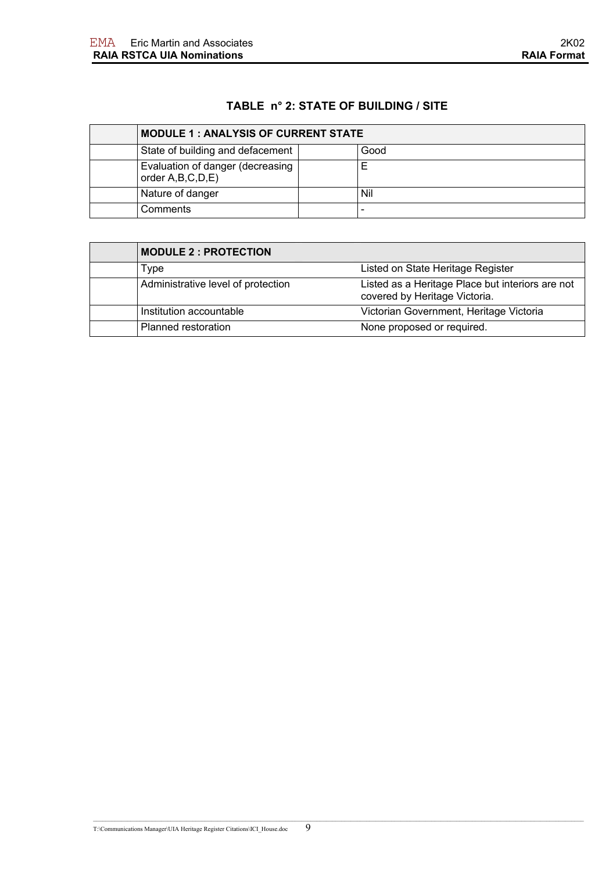### **TABLE n° 2: STATE OF BUILDING / SITE**

| <b>MODULE 1: ANALYSIS OF CURRENT STATE</b>           |  |      |
|------------------------------------------------------|--|------|
| State of building and defacement                     |  | Good |
| Evaluation of danger (decreasing<br>order A,B,C,D,E) |  |      |
| Nature of danger                                     |  | Nil  |
| Comments                                             |  |      |

| <b>MODULE 2 : PROTECTION</b>       |                                                                                   |
|------------------------------------|-----------------------------------------------------------------------------------|
| Type                               | Listed on State Heritage Register                                                 |
| Administrative level of protection | Listed as a Heritage Place but interiors are not<br>covered by Heritage Victoria. |
| Institution accountable            | Victorian Government, Heritage Victoria                                           |
| Planned restoration                | None proposed or required.                                                        |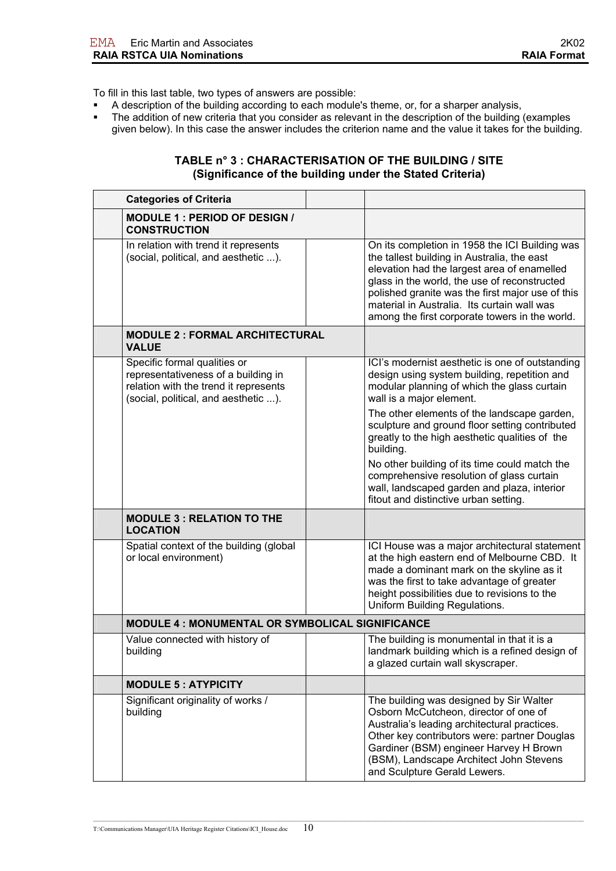To fill in this last table, two types of answers are possible:

- A description of the building according to each module's theme, or, for a sharper analysis,
- The addition of new criteria that you consider as relevant in the description of the building (examples given below). In this case the answer includes the criterion name and the value it takes for the building.

#### **TABLE n° 3 : CHARACTERISATION OF THE BUILDING / SITE (Significance of the building under the Stated Criteria)**

| <b>Categories of Criteria</b>                                                                                                                        |  |                                                                                                                                                                                                                                                                                                                                                   |
|------------------------------------------------------------------------------------------------------------------------------------------------------|--|---------------------------------------------------------------------------------------------------------------------------------------------------------------------------------------------------------------------------------------------------------------------------------------------------------------------------------------------------|
| <b>MODULE 1: PERIOD OF DESIGN /</b><br><b>CONSTRUCTION</b>                                                                                           |  |                                                                                                                                                                                                                                                                                                                                                   |
| In relation with trend it represents<br>(social, political, and aesthetic ).                                                                         |  | On its completion in 1958 the ICI Building was<br>the tallest building in Australia, the east<br>elevation had the largest area of enamelled<br>glass in the world, the use of reconstructed<br>polished granite was the first major use of this<br>material in Australia. Its curtain wall was<br>among the first corporate towers in the world. |
| <b>MODULE 2: FORMAL ARCHITECTURAL</b><br><b>VALUE</b>                                                                                                |  |                                                                                                                                                                                                                                                                                                                                                   |
| Specific formal qualities or<br>representativeness of a building in<br>relation with the trend it represents<br>(social, political, and aesthetic ). |  | ICI's modernist aesthetic is one of outstanding<br>design using system building, repetition and<br>modular planning of which the glass curtain<br>wall is a major element.                                                                                                                                                                        |
|                                                                                                                                                      |  | The other elements of the landscape garden,<br>sculpture and ground floor setting contributed<br>greatly to the high aesthetic qualities of the<br>building.                                                                                                                                                                                      |
|                                                                                                                                                      |  | No other building of its time could match the<br>comprehensive resolution of glass curtain<br>wall, landscaped garden and plaza, interior<br>fitout and distinctive urban setting.                                                                                                                                                                |
| <b>MODULE 3 : RELATION TO THE</b><br><b>LOCATION</b>                                                                                                 |  |                                                                                                                                                                                                                                                                                                                                                   |
| Spatial context of the building (global<br>or local environment)                                                                                     |  | ICI House was a major architectural statement<br>at the high eastern end of Melbourne CBD. It<br>made a dominant mark on the skyline as it<br>was the first to take advantage of greater<br>height possibilities due to revisions to the<br>Uniform Building Regulations.                                                                         |
| MODULE 4 : MONUMENTAL OR SYMBOLICAL SIGNIFICANCE                                                                                                     |  |                                                                                                                                                                                                                                                                                                                                                   |
| Value connected with history of<br>building                                                                                                          |  | The building is monumental in that it is a<br>landmark building which is a refined design of<br>a glazed curtain wall skyscraper.                                                                                                                                                                                                                 |
| <b>MODULE 5: ATYPICITY</b>                                                                                                                           |  |                                                                                                                                                                                                                                                                                                                                                   |
| Significant originality of works /<br>building                                                                                                       |  | The building was designed by Sir Walter<br>Osborn McCutcheon, director of one of<br>Australia's leading architectural practices.<br>Other key contributors were: partner Douglas<br>Gardiner (BSM) engineer Harvey H Brown<br>(BSM), Landscape Architect John Stevens<br>and Sculpture Gerald Lewers.                                             |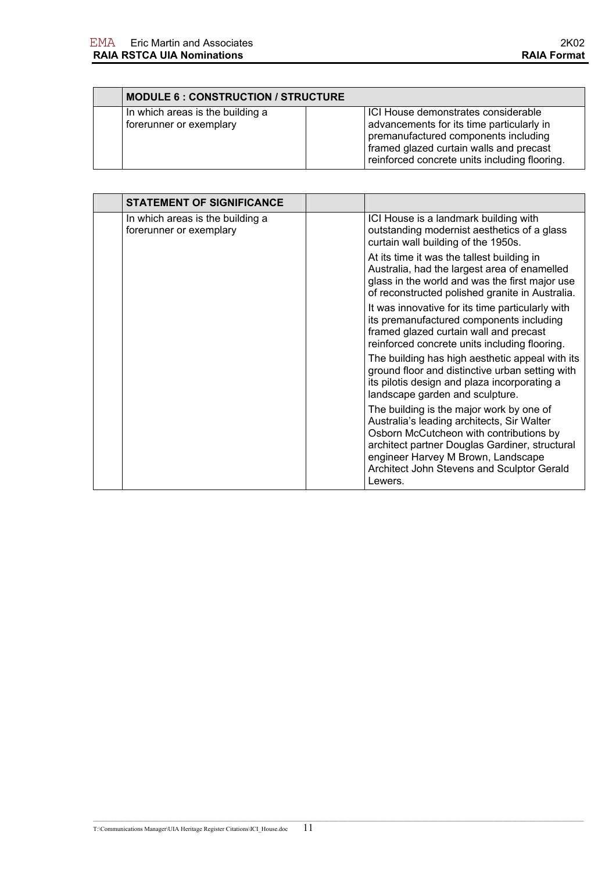|                                                             | <b>MODULE 6: CONSTRUCTION / STRUCTURE</b>                                                                                                                                                                            |  |
|-------------------------------------------------------------|----------------------------------------------------------------------------------------------------------------------------------------------------------------------------------------------------------------------|--|
| In which areas is the building a<br>forerunner or exemplary | ICI House demonstrates considerable<br>advancements for its time particularly in<br>premanufactured components including<br>framed glazed curtain walls and precast<br>reinforced concrete units including flooring. |  |

| <b>STATEMENT OF SIGNIFICANCE</b>                            |                                                                                                                                                                                                                                                                                    |
|-------------------------------------------------------------|------------------------------------------------------------------------------------------------------------------------------------------------------------------------------------------------------------------------------------------------------------------------------------|
| In which areas is the building a<br>forerunner or exemplary | ICI House is a landmark building with<br>outstanding modernist aesthetics of a glass<br>curtain wall building of the 1950s.                                                                                                                                                        |
|                                                             | At its time it was the tallest building in<br>Australia, had the largest area of enamelled<br>glass in the world and was the first major use<br>of reconstructed polished granite in Australia.                                                                                    |
|                                                             | It was innovative for its time particularly with<br>its premanufactured components including<br>framed glazed curtain wall and precast<br>reinforced concrete units including flooring.                                                                                            |
|                                                             | The building has high aesthetic appeal with its<br>ground floor and distinctive urban setting with<br>its pilotis design and plaza incorporating a<br>landscape garden and sculpture.                                                                                              |
|                                                             | The building is the major work by one of<br>Australia's leading architects, Sir Walter<br>Osborn McCutcheon with contributions by<br>architect partner Douglas Gardiner, structural<br>engineer Harvey M Brown, Landscape<br>Architect John Stevens and Sculptor Gerald<br>Lewers. |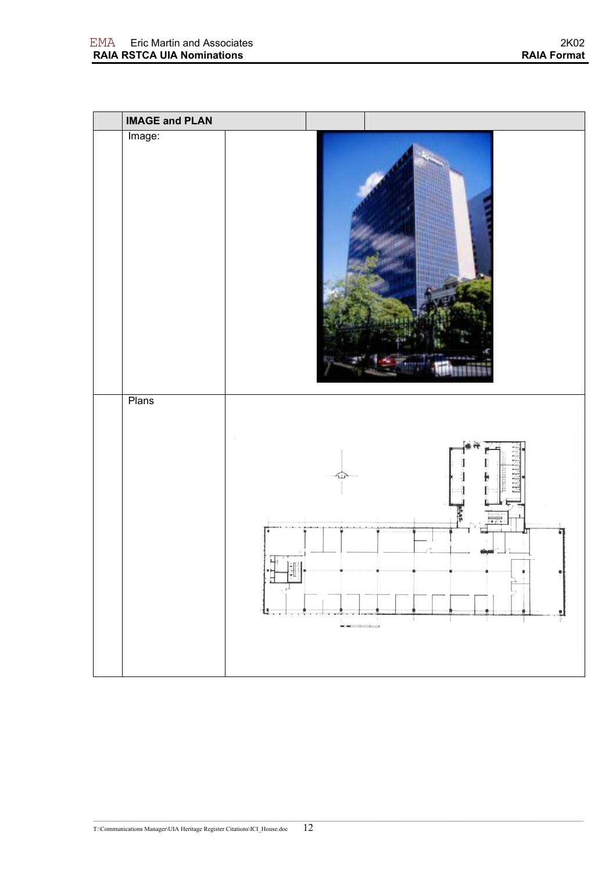| <b>IMAGE and PLAN</b> |                                                                                              |                                                                                             |                   |
|-----------------------|----------------------------------------------------------------------------------------------|---------------------------------------------------------------------------------------------|-------------------|
| Image:                |                                                                                              |                                                                                             |                   |
| Plans                 | $\begin{bmatrix} \mathbf{1} & \mathbf{1} \\ \mathbf{1} & \mathbf{1} \end{bmatrix}$<br>뵤<br>u | $\mathbf{H}^{\prime}\mathbf{H}^{\prime}=\mathbf{I}^{\prime}=\mathbf{I}^{\prime}=\mathbf{I}$ | en van<br>w<br>Ù. |